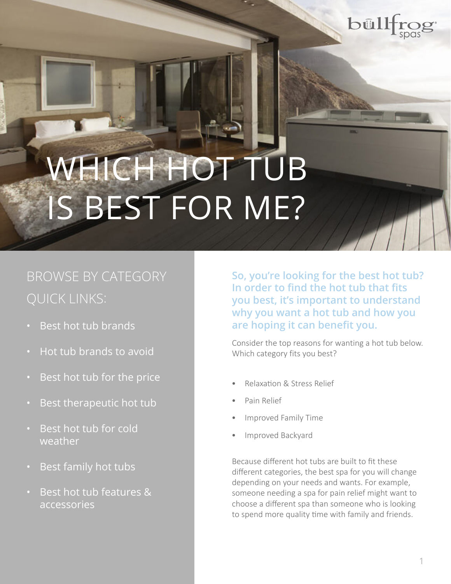

# WHICH HOT TUB IS BEST FOR ME?

# BROWSE BY CATEGORY QUICK LINKS:

- • [Best hot tub brands](#page-1-0)
- • [Hot tub brands to avoid](#page-2-0)
- Best hot tub for the price
- Best therapeutic hot tub
- **Best hot tub for cold** weather
- • [Best family hot tubs](#page-6-0)
- • [Best hot tub features &](#page-6-0) accessories

**So, you're looking for the best hot tub? In order to find the hot tub that fits you best, it's important to understand why you want a hot tub and how you are hoping it can benefit you.**

Consider the top reasons for wanting a hot tub below. Which category fits you best?

- Relaxation & Stress Relief
- Pain Relief
- Improved Family Time
- Improved Backyard

Because different hot tubs are built to fit these different categories, the best spa for you will change depending on your needs and wants. For example, someone needing a spa for pain relief might want to choose a different spa than someone who is looking to spend more quality time with family and friends.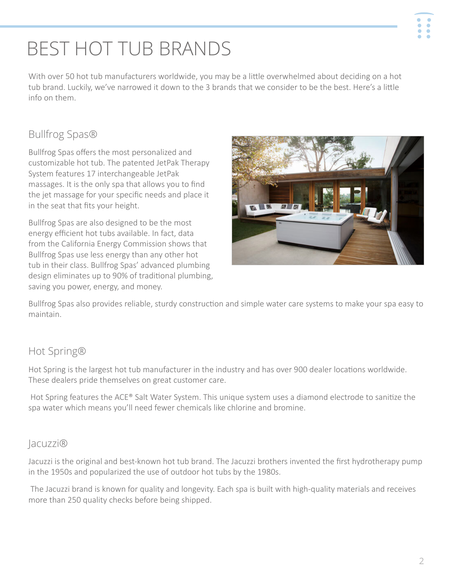# <span id="page-1-0"></span>BEST HOT TUB BRANDS

With over 50 hot tub manufacturers worldwide, you may be a little overwhelmed about deciding on a hot tub brand. Luckily, we've narrowed it down to the 3 brands that we consider to be the best. Here's a little info on them.

# Bullfrog Spas®

Bullfrog Spas offers the most personalized and customizable hot tub. The patented JetPak Therapy System features 17 interchangeable JetPak massages. It is the only spa that allows you to find the jet massage for your specific needs and place it in the seat that fits your height.

Bullfrog Spas are also designed to be the most energy efficient hot tubs available. In fact, data from the California Energy Commission shows that Bullfrog Spas use less energy than any other hot tub in their class. Bullfrog Spas' advanced plumbing design eliminates up to 90% of traditional plumbing, saving you power, energy, and money.



Bullfrog Spas also provides reliable, sturdy construction and simple water care systems to make your spa easy to maintain.

## Hot Spring®

Hot Spring is the largest hot tub manufacturer in the industry and has over 900 dealer locations worldwide. These dealers pride themselves on great customer care.

 Hot Spring features the ACE® Salt Water System. This unique system uses a diamond electrode to sanitize the spa water which means you'll need fewer chemicals like chlorine and bromine.

### Jacuzzi®

Jacuzzi is the original and best-known hot tub brand. The Jacuzzi brothers invented the first hydrotherapy pump in the 1950s and popularized the use of outdoor hot tubs by the 1980s.

 The Jacuzzi brand is known for quality and longevity. Each spa is built with high-quality materials and receives more than 250 quality checks before being shipped.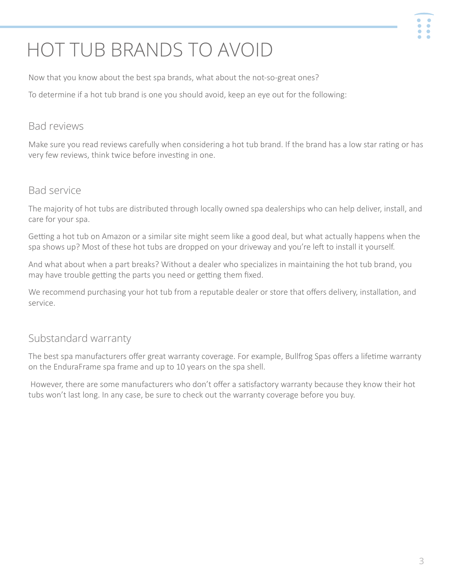# $\ddot{\bullet}$  $\ddot{\bullet}$

# <span id="page-2-0"></span>HOT TUB BRANDS TO AVOID

Now that you know about the best spa brands, what about the not-so-great ones?

To determine if a hot tub brand is one you should avoid, keep an eye out for the following:

### Bad reviews

Make sure you read reviews carefully when considering a hot tub brand. If the brand has a low star rating or has very few reviews, think twice before investing in one.

### Bad service

The majority of hot tubs are distributed through locally owned spa dealerships who can help deliver, install, and care for your spa.

Getting a hot tub on Amazon or a similar site might seem like a good deal, but what actually happens when the spa shows up? Most of these hot tubs are dropped on your driveway and you're left to install it yourself.

And what about when a part breaks? Without a dealer who specializes in maintaining the hot tub brand, you may have trouble getting the parts you need or getting them fixed.

We recommend purchasing your hot tub from a reputable dealer or store that offers delivery, installation, and service.

## Substandard warranty

The best spa manufacturers offer great warranty coverage. For example, Bullfrog Spas offers a lifetime warranty on the EnduraFrame spa frame and up to 10 years on the spa shell.

 However, there are some manufacturers who don't offer a satisfactory warranty because they know their hot tubs won't last long. In any case, be sure to check out the warranty coverage before you buy.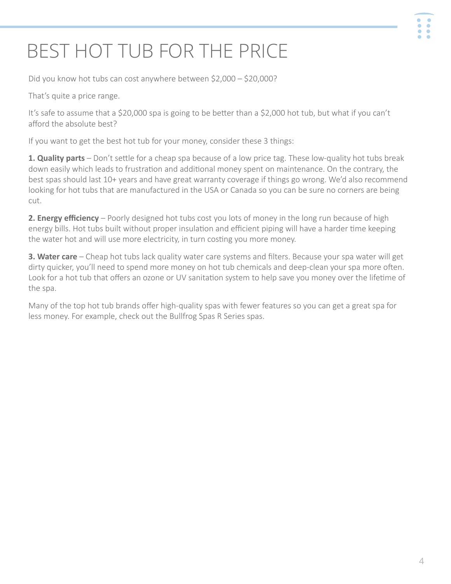#### $\ddot{\bullet}$ ŏ  $\bullet$

# <span id="page-3-0"></span>BEST HOT TUB FOR THE PRICE

Did you know hot tubs can cost anywhere between \$2,000 – \$20,000?

That's quite a price range.

It's safe to assume that a \$20,000 spa is going to be better than a \$2,000 hot tub, but what if you can't afford the absolute best?

If you want to get the best hot tub for your money, consider these 3 things:

**1. Quality parts** – Don't settle for a cheap spa because of a low price tag. These low-quality hot tubs break down easily which leads to frustration and additional money spent on maintenance. On the contrary, the best spas should last 10+ years and have great warranty coverage if things go wrong. We'd also recommend looking for hot tubs that are manufactured in the USA or Canada so you can be sure no corners are being cut.

**2. Energy efficiency** – Poorly designed hot tubs cost you lots of money in the long run because of high energy bills. Hot tubs built without proper insulation and efficient piping will have a harder time keeping the water hot and will use more electricity, in turn costing you more money.

**3. Water care** – Cheap hot tubs lack quality water care systems and filters. Because your spa water will get dirty quicker, you'll need to spend more money on hot tub chemicals and deep-clean your spa more often. Look for a hot tub that offers an ozone or UV sanitation system to help save you money over the lifetime of the spa.

Many of the top hot tub brands offer high-quality spas with fewer features so you can get a great spa for less money. For example, check out the Bullfrog Spas R Series spas.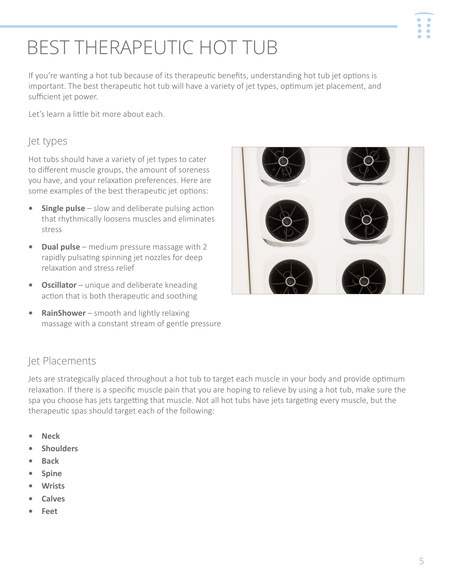5

# <span id="page-4-0"></span>BEST THERAPEUTIC HOT TUB

If you're wanting a hot tub because of its therapeutic benefits, understanding hot tub jet options is important. The best therapeutic hot tub will have a variety of jet types, optimum jet placement, and sufficient jet power.

Let's learn a little bit more about each.

### Jet types

Hot tubs should have a variety of jet types to cater to different muscle groups, the amount of soreness you have, and your relaxation preferences. Here are some examples of the best therapeutic jet options:

- **Single pulse** slow and deliberate pulsing action that rhythmically loosens muscles and eliminates stress
- **• Dual pulse** medium pressure massage with 2 rapidly pulsating spinning jet nozzles for deep relaxation and stress relief
- **• Oscillator** unique and deliberate kneading action that is both therapeutic and soothing
- **• RainShower**  smooth and lightly relaxing massage with a constant stream of gentle pressure

## Jet Placements

Jets are strategically placed throughout a hot tub to target each muscle in your body and provide optimum relaxation. If there is a specific muscle pain that you are hoping to relieve by using a hot tub, make sure the spa you choose has jets targetting that muscle. Not all hot tubs have jets targeting every muscle, but the therapeutic spas should target each of the following:

- **• Neck**
- **• Shoulders**
- **• Back**
- **• Spine**
- **• Wrists**
- **• Calves**
- **• Feet**



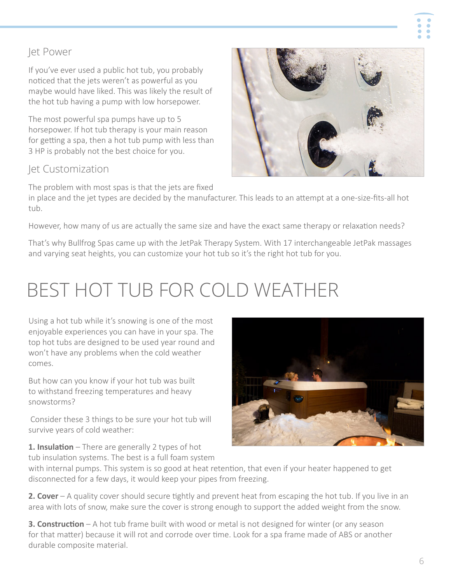### <span id="page-5-0"></span>Jet Power

If you've ever used a public hot tub, you probably noticed that the jets weren't as powerful as you maybe would have liked. This was likely the result of the hot tub having a pump with low horsepower.

The most powerful spa pumps have up to 5 horsepower. If hot tub therapy is your main reason for getting a spa, then a hot tub pump with less than 3 HP is probably not the best choice for you.

### Jet Customization

The problem with most spas is that the jets are fixed in place and the jet types are decided by the manufacturer. This leads to an attempt at a one-size-fits-all hot tub.

However, how many of us are actually the same size and have the exact same therapy or relaxation needs?

That's why Bullfrog Spas came up with the JetPak Therapy System. With 17 interchangeable JetPak massages and varying seat heights, you can customize your hot tub so it's the right hot tub for you.

# BEST HOT TUB FOR COLD WEATHER

Using a hot tub while it's snowing is one of the most enjoyable experiences you can have in your spa. The top hot tubs are designed to be used year round and won't have any problems when the cold weather comes.

But how can you know if your hot tub was built to withstand freezing temperatures and heavy snowstorms?

 Consider these 3 things to be sure your hot tub will survive years of cold weather:

**1. Insulation** – There are generally 2 types of hot tub insulation systems. The best is a full foam system

with internal pumps. This system is so good at heat retention, that even if your heater happened to get disconnected for a few days, it would keep your pipes from freezing.

**2. Cover** – A quality cover should secure tightly and prevent heat from escaping the hot tub. If you live in an area with lots of snow, make sure the cover is strong enough to support the added weight from the snow.

**3. Construction** – A hot tub frame built with wood or metal is not designed for winter (or any season for that matter) because it will rot and corrode over time. Look for a spa frame made of ABS or another durable composite material.